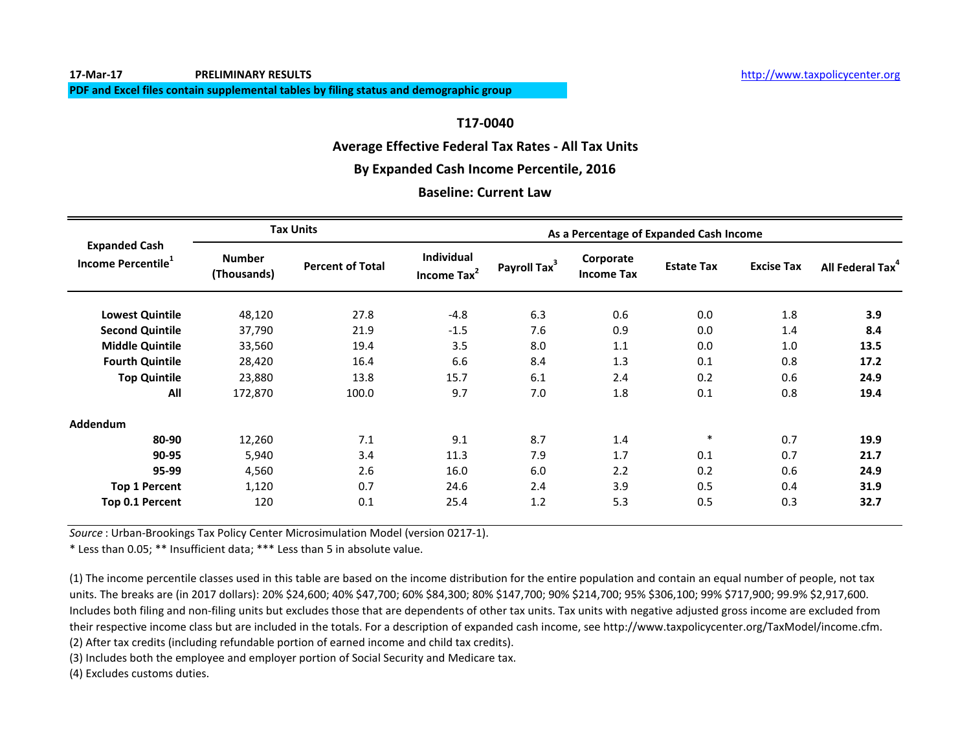#### **Average Effective Federal Tax Rates - All Tax Units**

#### **By Expanded Cash Income Percentile, 2016**

#### **Baseline: Current Law**

|                                                        |                              | <b>Tax Units</b>        | As a Percentage of Expanded Cash Income      |                          |                                |                   |                   |                              |  |
|--------------------------------------------------------|------------------------------|-------------------------|----------------------------------------------|--------------------------|--------------------------------|-------------------|-------------------|------------------------------|--|
| <b>Expanded Cash</b><br>Income Percentile <sup>1</sup> | <b>Number</b><br>(Thousands) | <b>Percent of Total</b> | <b>Individual</b><br>Income Tax <sup>2</sup> | Payroll Tax <sup>3</sup> | Corporate<br><b>Income Tax</b> | <b>Estate Tax</b> | <b>Excise Tax</b> | All Federal Tax <sup>4</sup> |  |
| <b>Lowest Quintile</b>                                 | 48,120                       | 27.8                    | $-4.8$                                       | 6.3                      | 0.6                            | 0.0               | 1.8               | 3.9                          |  |
| <b>Second Quintile</b>                                 | 37,790                       | 21.9                    | $-1.5$                                       | 7.6                      | 0.9                            | 0.0               | 1.4               | 8.4                          |  |
| <b>Middle Quintile</b>                                 | 33,560                       | 19.4                    | 3.5                                          | 8.0                      | 1.1                            | 0.0               | 1.0               | 13.5                         |  |
| <b>Fourth Quintile</b>                                 | 28,420                       | 16.4                    | 6.6                                          | 8.4                      | 1.3                            | 0.1               | 0.8               | 17.2                         |  |
| <b>Top Quintile</b>                                    | 23,880                       | 13.8                    | 15.7                                         | 6.1                      | 2.4                            | 0.2               | 0.6               | 24.9                         |  |
| All                                                    | 172,870                      | 100.0                   | 9.7                                          | 7.0                      | 1.8                            | 0.1               | 0.8               | 19.4                         |  |
| <b>Addendum</b>                                        |                              |                         |                                              |                          |                                |                   |                   |                              |  |
| 80-90                                                  | 12,260                       | 7.1                     | 9.1                                          | 8.7                      | 1.4                            | $\ast$            | 0.7               | 19.9                         |  |
| 90-95                                                  | 5,940                        | 3.4                     | 11.3                                         | 7.9                      | 1.7                            | 0.1               | 0.7               | 21.7                         |  |
| 95-99                                                  | 4,560                        | 2.6                     | 16.0                                         | 6.0                      | 2.2                            | 0.2               | 0.6               | 24.9                         |  |
| <b>Top 1 Percent</b>                                   | 1,120                        | 0.7                     | 24.6                                         | 2.4                      | 3.9                            | 0.5               | 0.4               | 31.9                         |  |
| Top 0.1 Percent                                        | 120                          | 0.1                     | 25.4                                         | 1.2                      | 5.3                            | 0.5               | 0.3               | 32.7                         |  |

*Source* : Urban-Brookings Tax Policy Center Microsimulation Model (version 0217-1).

\* Less than 0.05; \*\* Insufficient data; \*\*\* Less than 5 in absolute value.

(2) After tax credits (including refundable portion of earned income and child tax credits). (1) The income percentile classes used in this table are based on the income distribution for the entire population and contain an equal number of people, not tax units. The breaks are (in 2017 dollars): 20% \$24,600; 40% \$47,700; 60% \$84,300; 80% \$147,700; 90% \$214,700; 95% \$306,100; 99% \$717,900; 99.9% \$2,917,600. Includes both filing and non-filing units but excludes those that are dependents of other tax units. Tax units with negative adjusted gross income are excluded from their respective income class but are included in the totals. For a description of expanded cash income, see http://www.taxpolicycenter.org/TaxModel/income.cfm.

(3) Includes both the employee and employer portion of Social Security and Medicare tax.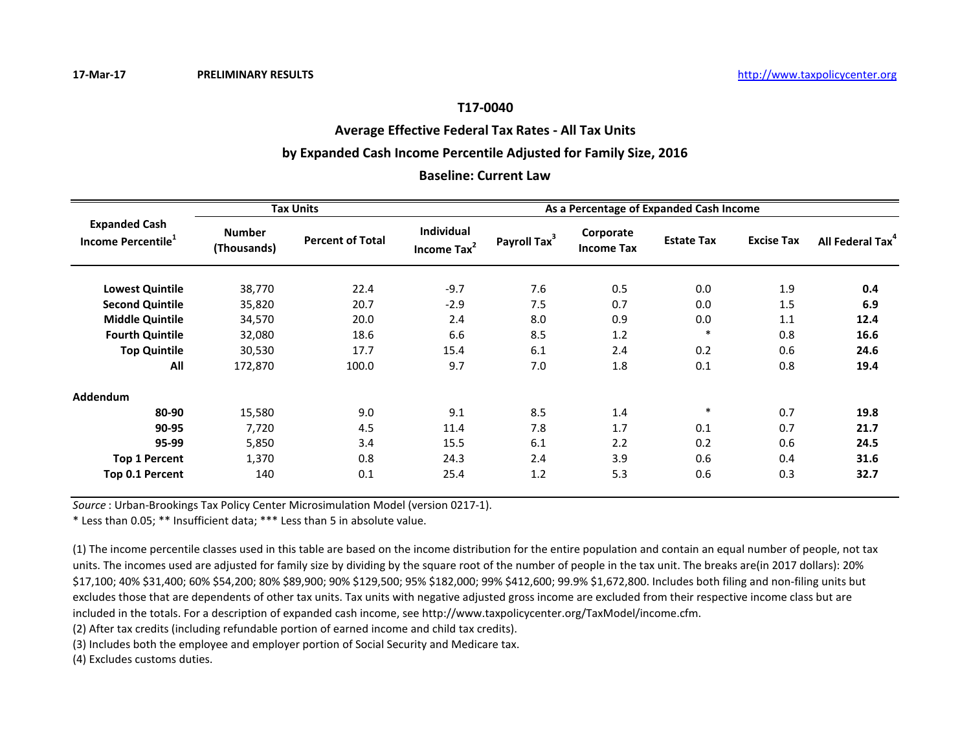## **Average Effective Federal Tax Rates - All Tax Units**

# **by Expanded Cash Income Percentile Adjusted for Family Size, 2016**

## **Baseline: Current Law**

|                                                        |                              | <b>Tax Units</b>        |                                       | As a Percentage of Expanded Cash Income |                                |                   |                   |                              |  |  |
|--------------------------------------------------------|------------------------------|-------------------------|---------------------------------------|-----------------------------------------|--------------------------------|-------------------|-------------------|------------------------------|--|--|
| <b>Expanded Cash</b><br>Income Percentile <sup>1</sup> | <b>Number</b><br>(Thousands) | <b>Percent of Total</b> | Individual<br>Income Tax <sup>2</sup> | Payroll Tax <sup>3</sup>                | Corporate<br><b>Income Tax</b> | <b>Estate Tax</b> | <b>Excise Tax</b> | All Federal Tax <sup>4</sup> |  |  |
| <b>Lowest Quintile</b>                                 | 38,770                       | 22.4                    | $-9.7$                                | 7.6                                     | 0.5                            | 0.0               | 1.9               | 0.4                          |  |  |
| <b>Second Quintile</b>                                 | 35,820                       | 20.7                    | $-2.9$                                | 7.5                                     | 0.7                            | 0.0               | 1.5               | 6.9                          |  |  |
| <b>Middle Quintile</b>                                 | 34,570                       | 20.0                    | 2.4                                   | 8.0                                     | 0.9                            | 0.0               | 1.1               | 12.4                         |  |  |
| <b>Fourth Quintile</b>                                 | 32,080                       | 18.6                    | 6.6                                   | 8.5                                     | 1.2                            | $\ast$            | 0.8               | 16.6                         |  |  |
| <b>Top Quintile</b>                                    | 30,530                       | 17.7                    | 15.4                                  | 6.1                                     | 2.4                            | 0.2               | 0.6               | 24.6                         |  |  |
| All                                                    | 172,870                      | 100.0                   | 9.7                                   | 7.0                                     | 1.8                            | 0.1               | 0.8               | 19.4                         |  |  |
| Addendum                                               |                              |                         |                                       |                                         |                                |                   |                   |                              |  |  |
| 80-90                                                  | 15,580                       | 9.0                     | 9.1                                   | 8.5                                     | 1.4                            | $\ast$            | 0.7               | 19.8                         |  |  |
| 90-95                                                  | 7,720                        | 4.5                     | 11.4                                  | 7.8                                     | 1.7                            | 0.1               | 0.7               | 21.7                         |  |  |
| 95-99                                                  | 5,850                        | 3.4                     | 15.5                                  | 6.1                                     | 2.2                            | 0.2               | 0.6               | 24.5                         |  |  |
| <b>Top 1 Percent</b>                                   | 1,370                        | 0.8                     | 24.3                                  | 2.4                                     | 3.9                            | 0.6               | 0.4               | 31.6                         |  |  |
| Top 0.1 Percent                                        | 140                          | 0.1                     | 25.4                                  | 1.2                                     | 5.3                            | 0.6               | 0.3               | 32.7                         |  |  |

*Source* : Urban-Brookings Tax Policy Center Microsimulation Model (version 0217-1).

\* Less than 0.05; \*\* Insufficient data; \*\*\* Less than 5 in absolute value.

(1) The income percentile classes used in this table are based on the income distribution for the entire population and contain an equal number of people, not tax units. The incomes used are adjusted for family size by dividing by the square root of the number of people in the tax unit. The breaks are(in 2017 dollars): 20% \$17,100; 40% \$31,400; 60% \$54,200; 80% \$89,900; 90% \$129,500; 95% \$182,000; 99% \$412,600; 99.9% \$1,672,800. Includes both filing and non-filing units but excludes those that are dependents of other tax units. Tax units with negative adjusted gross income are excluded from their respective income class but are included in the totals. For a description of expanded cash income, see http://www.taxpolicycenter.org/TaxModel/income.cfm.

(2) After tax credits (including refundable portion of earned income and child tax credits).

(3) Includes both the employee and employer portion of Social Security and Medicare tax.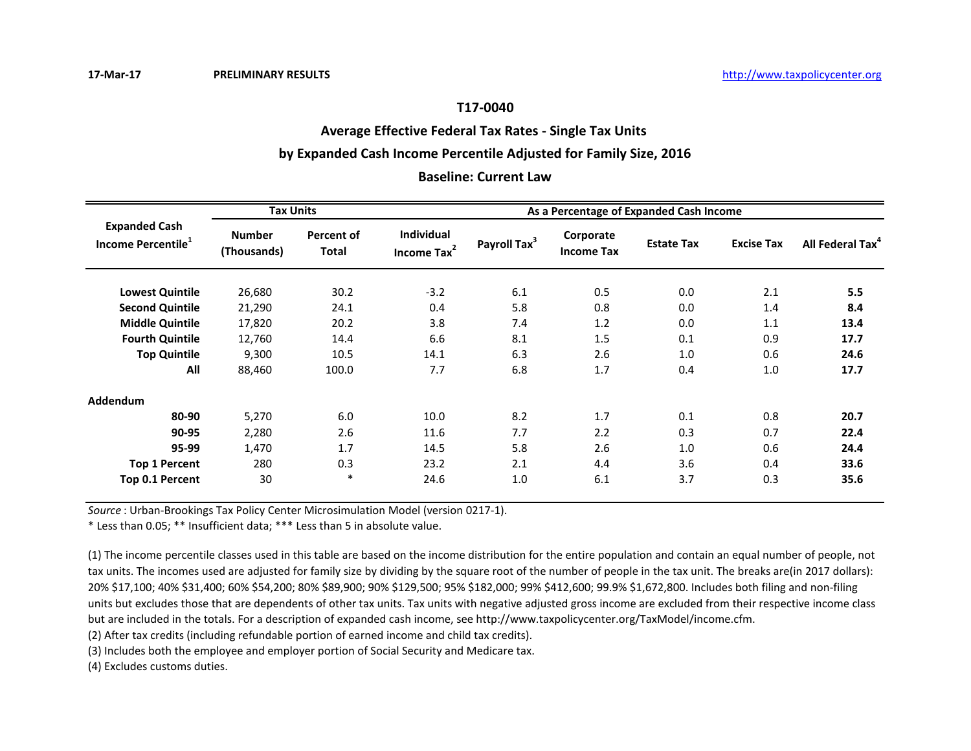## **Average Effective Federal Tax Rates - Single Tax Units**

## **by Expanded Cash Income Percentile Adjusted for Family Size, 2016**

#### **Baseline: Current Law**

|                                                        | <b>Tax Units</b>             |                            | As a Percentage of Expanded Cash Income |                          |                                |                   |                   |                              |  |
|--------------------------------------------------------|------------------------------|----------------------------|-----------------------------------------|--------------------------|--------------------------------|-------------------|-------------------|------------------------------|--|
| <b>Expanded Cash</b><br>Income Percentile <sup>1</sup> | <b>Number</b><br>(Thousands) | Percent of<br><b>Total</b> | Individual<br>Income Tax <sup>2</sup>   | Payroll Tax <sup>3</sup> | Corporate<br><b>Income Tax</b> | <b>Estate Tax</b> | <b>Excise Tax</b> | All Federal Tax <sup>4</sup> |  |
| <b>Lowest Quintile</b>                                 | 26,680                       | 30.2                       | $-3.2$                                  | 6.1                      | 0.5                            | 0.0               | 2.1               | 5.5                          |  |
| <b>Second Quintile</b>                                 | 21,290                       | 24.1                       | 0.4                                     | 5.8                      | 0.8                            | 0.0               | 1.4               | 8.4                          |  |
| <b>Middle Quintile</b>                                 | 17,820                       | 20.2                       | 3.8                                     | 7.4                      | 1.2                            | 0.0               | 1.1               | 13.4                         |  |
| <b>Fourth Quintile</b>                                 | 12,760                       | 14.4                       | 6.6                                     | 8.1                      | 1.5                            | 0.1               | 0.9               | 17.7                         |  |
| <b>Top Quintile</b>                                    | 9,300                        | 10.5                       | 14.1                                    | 6.3                      | 2.6                            | 1.0               | 0.6               | 24.6                         |  |
| All                                                    | 88,460                       | 100.0                      | 7.7                                     | 6.8                      | 1.7                            | 0.4               | 1.0               | 17.7                         |  |
| Addendum                                               |                              |                            |                                         |                          |                                |                   |                   |                              |  |
| 80-90                                                  | 5,270                        | 6.0                        | 10.0                                    | 8.2                      | 1.7                            | 0.1               | 0.8               | 20.7                         |  |
| 90-95                                                  | 2,280                        | 2.6                        | 11.6                                    | 7.7                      | 2.2                            | 0.3               | 0.7               | 22.4                         |  |
| 95-99                                                  | 1,470                        | 1.7                        | 14.5                                    | 5.8                      | 2.6                            | 1.0               | 0.6               | 24.4                         |  |
| <b>Top 1 Percent</b>                                   | 280                          | 0.3                        | 23.2                                    | 2.1                      | 4.4                            | 3.6               | 0.4               | 33.6                         |  |
| Top 0.1 Percent                                        | 30                           | $\ast$                     | 24.6                                    | 1.0                      | 6.1                            | 3.7               | 0.3               | 35.6                         |  |

*Source* : Urban-Brookings Tax Policy Center Microsimulation Model (version 0217-1).

\* Less than 0.05; \*\* Insufficient data; \*\*\* Less than 5 in absolute value.

(1) The income percentile classes used in this table are based on the income distribution for the entire population and contain an equal number of people, not tax units. The incomes used are adjusted for family size by dividing by the square root of the number of people in the tax unit. The breaks are(in 2017 dollars): 20% \$17,100; 40% \$31,400; 60% \$54,200; 80% \$89,900; 90% \$129,500; 95% \$182,000; 99% \$412,600; 99.9% \$1,672,800. Includes both filing and non-filing units but excludes those that are dependents of other tax units. Tax units with negative adjusted gross income are excluded from their respective income class but are included in the totals. For a description of expanded cash income, see http://www.taxpolicycenter.org/TaxModel/income.cfm.

(2) After tax credits (including refundable portion of earned income and child tax credits).

(3) Includes both the employee and employer portion of Social Security and Medicare tax.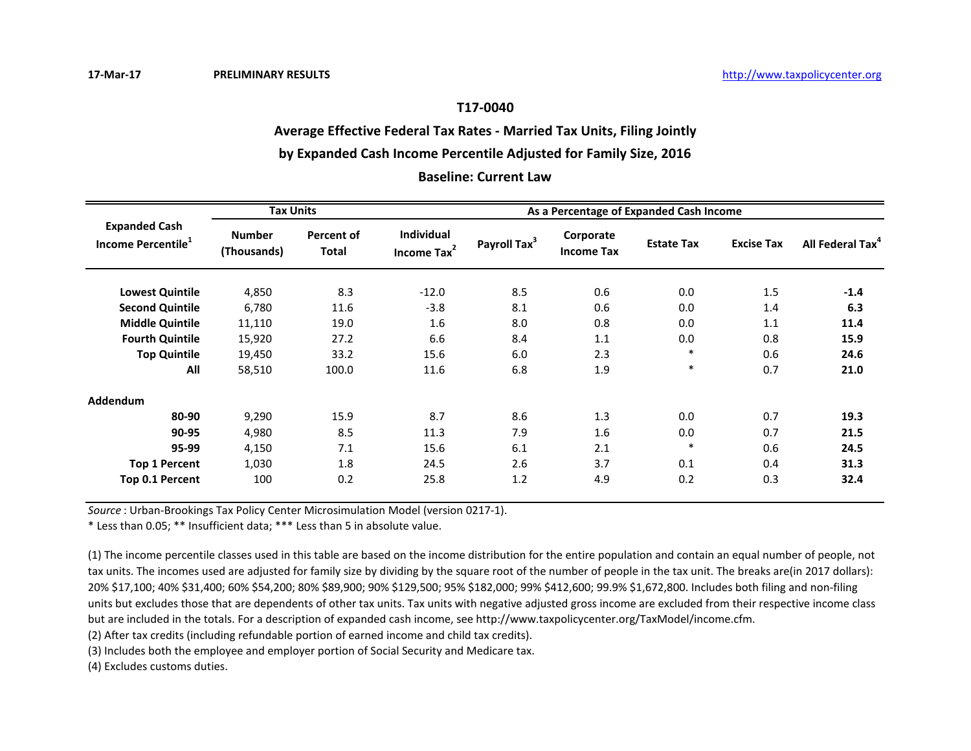# **Average Effective Federal Tax Rates - Married Tax Units, Filing Jointly**

# **by Expanded Cash Income Percentile Adjusted for Family Size, 2016**

## **Baseline: Current Law**

|                                                        | <b>Tax Units</b>             |                            | As a Percentage of Expanded Cash Income |                          |                                |                   |                   |                              |  |
|--------------------------------------------------------|------------------------------|----------------------------|-----------------------------------------|--------------------------|--------------------------------|-------------------|-------------------|------------------------------|--|
| <b>Expanded Cash</b><br>Income Percentile <sup>1</sup> | <b>Number</b><br>(Thousands) | Percent of<br><b>Total</b> | Individual<br>Income Tax <sup>2</sup>   | Payroll Tax <sup>3</sup> | Corporate<br><b>Income Tax</b> | <b>Estate Tax</b> | <b>Excise Tax</b> | All Federal Tax <sup>4</sup> |  |
| <b>Lowest Quintile</b>                                 | 4,850                        | 8.3                        | $-12.0$                                 | 8.5                      | 0.6                            | 0.0               | 1.5               | $-1.4$                       |  |
| <b>Second Quintile</b>                                 | 6,780                        | 11.6                       | $-3.8$                                  | 8.1                      | 0.6                            | 0.0               | 1.4               | 6.3                          |  |
| <b>Middle Quintile</b>                                 | 11,110                       | 19.0                       | 1.6                                     | 8.0                      | 0.8                            | 0.0               | 1.1               | 11.4                         |  |
| <b>Fourth Quintile</b>                                 | 15,920                       | 27.2                       | 6.6                                     | 8.4                      | 1.1                            | 0.0               | 0.8               | 15.9                         |  |
| <b>Top Quintile</b>                                    | 19,450                       | 33.2                       | 15.6                                    | 6.0                      | 2.3                            | $\ast$            | 0.6               | 24.6                         |  |
| All                                                    | 58,510                       | 100.0                      | 11.6                                    | 6.8                      | 1.9                            | $\ast$            | 0.7               | 21.0                         |  |
| Addendum                                               |                              |                            |                                         |                          |                                |                   |                   |                              |  |
| 80-90                                                  | 9,290                        | 15.9                       | 8.7                                     | 8.6                      | 1.3                            | 0.0               | 0.7               | 19.3                         |  |
| 90-95                                                  | 4,980                        | 8.5                        | 11.3                                    | 7.9                      | 1.6                            | 0.0               | 0.7               | 21.5                         |  |
| 95-99                                                  | 4,150                        | 7.1                        | 15.6                                    | 6.1                      | 2.1                            | $\ast$            | 0.6               | 24.5                         |  |
| <b>Top 1 Percent</b>                                   | 1,030                        | 1.8                        | 24.5                                    | 2.6                      | 3.7                            | 0.1               | 0.4               | 31.3                         |  |
| Top 0.1 Percent                                        | 100                          | 0.2                        | 25.8                                    | 1.2                      | 4.9                            | 0.2               | 0.3               | 32.4                         |  |

*Source* : Urban-Brookings Tax Policy Center Microsimulation Model (version 0217-1).

\* Less than 0.05; \*\* Insufficient data; \*\*\* Less than 5 in absolute value.

(1) The income percentile classes used in this table are based on the income distribution for the entire population and contain an equal number of people, not tax units. The incomes used are adjusted for family size by dividing by the square root of the number of people in the tax unit. The breaks are(in 2017 dollars): 20% \$17,100; 40% \$31,400; 60% \$54,200; 80% \$89,900; 90% \$129,500; 95% \$182,000; 99% \$412,600; 99.9% \$1,672,800. Includes both filing and non-filing units but excludes those that are dependents of other tax units. Tax units with negative adjusted gross income are excluded from their respective income class but are included in the totals. For a description of expanded cash income, see http://www.taxpolicycenter.org/TaxModel/income.cfm.

(2) After tax credits (including refundable portion of earned income and child tax credits).

(3) Includes both the employee and employer portion of Social Security and Medicare tax.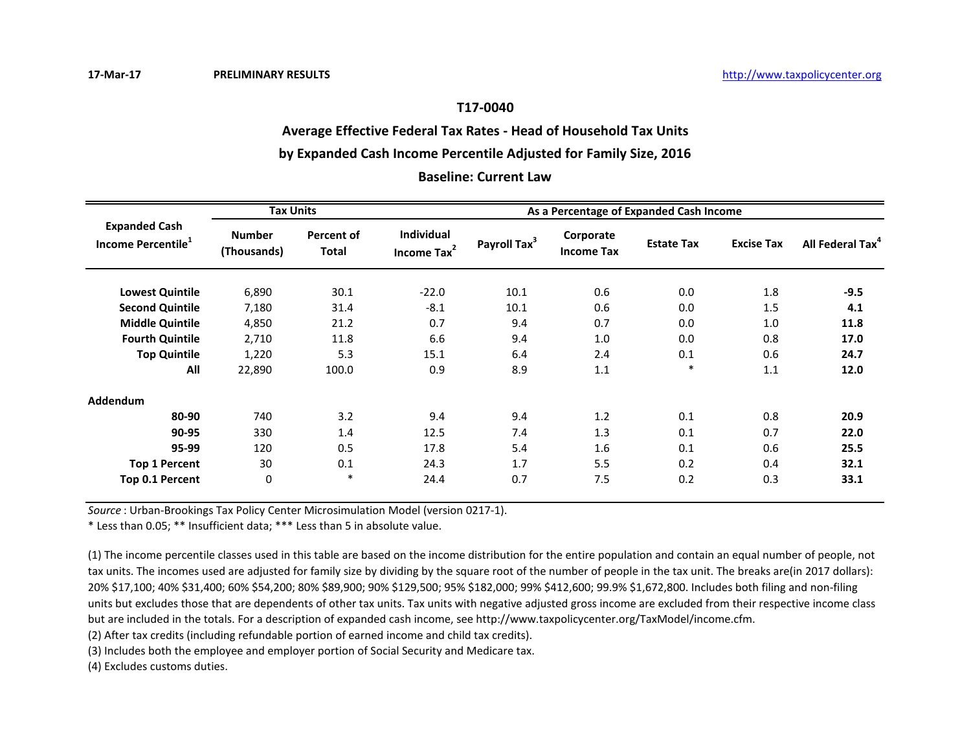# **Average Effective Federal Tax Rates - Head of Household Tax Units**

# **by Expanded Cash Income Percentile Adjusted for Family Size, 2016**

#### **Baseline: Current Law**

|                                                        | <b>Tax Units</b>             |                            | As a Percentage of Expanded Cash Income |                          |                                |                   |                   |                              |  |
|--------------------------------------------------------|------------------------------|----------------------------|-----------------------------------------|--------------------------|--------------------------------|-------------------|-------------------|------------------------------|--|
| <b>Expanded Cash</b><br>Income Percentile <sup>1</sup> | <b>Number</b><br>(Thousands) | Percent of<br><b>Total</b> | Individual<br>Income Tax <sup>2</sup>   | Payroll Tax <sup>3</sup> | Corporate<br><b>Income Tax</b> | <b>Estate Tax</b> | <b>Excise Tax</b> | All Federal Tax <sup>4</sup> |  |
| <b>Lowest Quintile</b>                                 | 6,890                        | 30.1                       | $-22.0$                                 | 10.1                     | 0.6                            | 0.0               | 1.8               | $-9.5$                       |  |
| <b>Second Quintile</b>                                 | 7,180                        | 31.4                       | $-8.1$                                  | 10.1                     | 0.6                            | 0.0               | 1.5               | 4.1                          |  |
| <b>Middle Quintile</b>                                 | 4,850                        | 21.2                       | 0.7                                     | 9.4                      | 0.7                            | 0.0               | 1.0               | 11.8                         |  |
| <b>Fourth Quintile</b>                                 | 2,710                        | 11.8                       | 6.6                                     | 9.4                      | 1.0                            | 0.0               | 0.8               | 17.0                         |  |
| <b>Top Quintile</b>                                    | 1,220                        | 5.3                        | 15.1                                    | 6.4                      | 2.4                            | 0.1               | 0.6               | 24.7                         |  |
| All                                                    | 22,890                       | 100.0                      | 0.9                                     | 8.9                      | 1.1                            | $\ast$            | 1.1               | 12.0                         |  |
| Addendum                                               |                              |                            |                                         |                          |                                |                   |                   |                              |  |
| 80-90                                                  | 740                          | 3.2                        | 9.4                                     | 9.4                      | 1.2                            | 0.1               | 0.8               | 20.9                         |  |
| 90-95                                                  | 330                          | 1.4                        | 12.5                                    | 7.4                      | 1.3                            | 0.1               | 0.7               | 22.0                         |  |
| 95-99                                                  | 120                          | 0.5                        | 17.8                                    | 5.4                      | 1.6                            | 0.1               | 0.6               | 25.5                         |  |
| <b>Top 1 Percent</b>                                   | 30                           | 0.1                        | 24.3                                    | 1.7                      | 5.5                            | 0.2               | 0.4               | 32.1                         |  |
| Top 0.1 Percent                                        | 0                            | $\ast$                     | 24.4                                    | 0.7                      | 7.5                            | 0.2               | 0.3               | 33.1                         |  |

*Source* : Urban-Brookings Tax Policy Center Microsimulation Model (version 0217-1).

\* Less than 0.05; \*\* Insufficient data; \*\*\* Less than 5 in absolute value.

(1) The income percentile classes used in this table are based on the income distribution for the entire population and contain an equal number of people, not tax units. The incomes used are adjusted for family size by dividing by the square root of the number of people in the tax unit. The breaks are(in 2017 dollars): 20% \$17,100; 40% \$31,400; 60% \$54,200; 80% \$89,900; 90% \$129,500; 95% \$182,000; 99% \$412,600; 99.9% \$1,672,800. Includes both filing and non-filing units but excludes those that are dependents of other tax units. Tax units with negative adjusted gross income are excluded from their respective income class but are included in the totals. For a description of expanded cash income, see http://www.taxpolicycenter.org/TaxModel/income.cfm.

(2) After tax credits (including refundable portion of earned income and child tax credits).

(3) Includes both the employee and employer portion of Social Security and Medicare tax.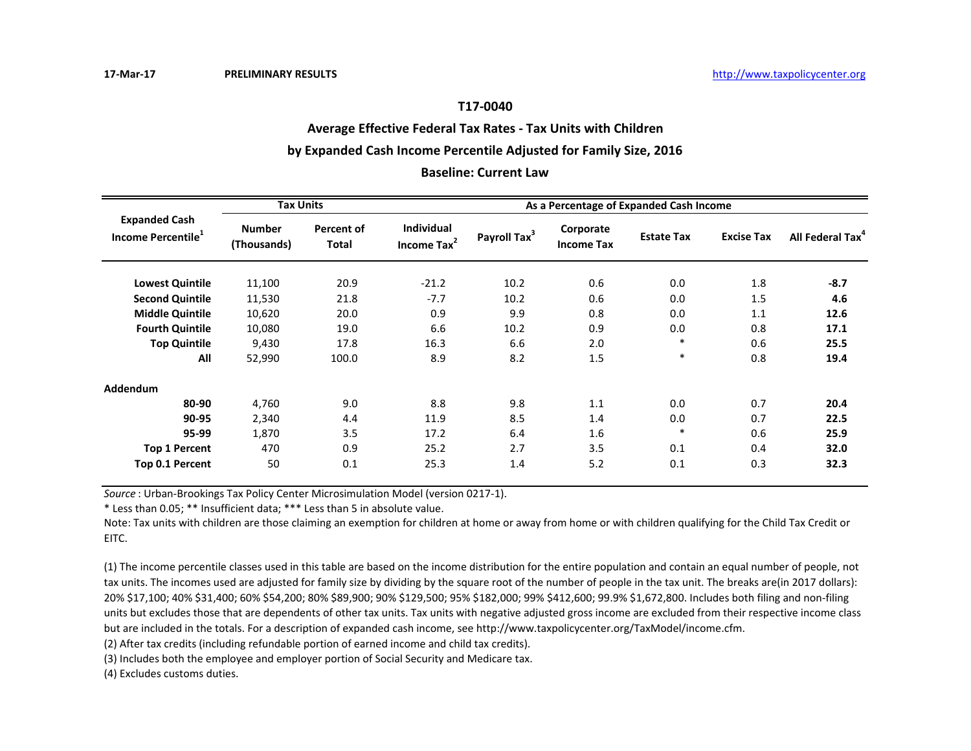# **Average Effective Federal Tax Rates - Tax Units with Children**

#### **by Expanded Cash Income Percentile Adjusted for Family Size, 2016**

#### **Baseline: Current Law**

|                                                        | <b>Tax Units</b>             |                            | As a Percentage of Expanded Cash Income      |                          |                                |                   |                   |                              |  |
|--------------------------------------------------------|------------------------------|----------------------------|----------------------------------------------|--------------------------|--------------------------------|-------------------|-------------------|------------------------------|--|
| <b>Expanded Cash</b><br>Income Percentile <sup>1</sup> | <b>Number</b><br>(Thousands) | Percent of<br><b>Total</b> | <b>Individual</b><br>Income Tax <sup>2</sup> | Payroll Tax <sup>3</sup> | Corporate<br><b>Income Tax</b> | <b>Estate Tax</b> | <b>Excise Tax</b> | All Federal Tax <sup>4</sup> |  |
| <b>Lowest Quintile</b>                                 | 11,100                       | 20.9                       | $-21.2$                                      | 10.2                     | 0.6                            | 0.0               | 1.8               | $-8.7$                       |  |
| <b>Second Quintile</b>                                 | 11,530                       | 21.8                       | $-7.7$                                       | 10.2                     | 0.6                            | 0.0               | 1.5               | 4.6                          |  |
| <b>Middle Quintile</b>                                 | 10,620                       | 20.0                       | 0.9                                          | 9.9                      | 0.8                            | 0.0               | 1.1               | 12.6                         |  |
| <b>Fourth Quintile</b>                                 | 10,080                       | 19.0                       | 6.6                                          | 10.2                     | 0.9                            | 0.0               | 0.8               | 17.1                         |  |
| <b>Top Quintile</b>                                    | 9,430                        | 17.8                       | 16.3                                         | 6.6                      | 2.0                            | $\ast$            | 0.6               | 25.5                         |  |
| All                                                    | 52,990                       | 100.0                      | 8.9                                          | 8.2                      | 1.5                            | $\ast$            | 0.8               | 19.4                         |  |
| Addendum                                               |                              |                            |                                              |                          |                                |                   |                   |                              |  |
| 80-90                                                  | 4,760                        | 9.0                        | 8.8                                          | 9.8                      | 1.1                            | 0.0               | 0.7               | 20.4                         |  |
| 90-95                                                  | 2,340                        | 4.4                        | 11.9                                         | 8.5                      | 1.4                            | 0.0               | 0.7               | 22.5                         |  |
| 95-99                                                  | 1,870                        | 3.5                        | 17.2                                         | 6.4                      | 1.6                            | $\ast$            | 0.6               | 25.9                         |  |
| <b>Top 1 Percent</b>                                   | 470                          | 0.9                        | 25.2                                         | 2.7                      | 3.5                            | 0.1               | 0.4               | 32.0                         |  |
| Top 0.1 Percent                                        | 50                           | 0.1                        | 25.3                                         | 1.4                      | 5.2                            | 0.1               | 0.3               | 32.3                         |  |

*Source* : Urban-Brookings Tax Policy Center Microsimulation Model (version 0217-1).

\* Less than 0.05; \*\* Insufficient data; \*\*\* Less than 5 in absolute value.

Note: Tax units with children are those claiming an exemption for children at home or away from home or with children qualifying for the Child Tax Credit or EITC.

(1) The income percentile classes used in this table are based on the income distribution for the entire population and contain an equal number of people, not tax units. The incomes used are adjusted for family size by dividing by the square root of the number of people in the tax unit. The breaks are(in 2017 dollars): 20% \$17,100; 40% \$31,400; 60% \$54,200; 80% \$89,900; 90% \$129,500; 95% \$182,000; 99% \$412,600; 99.9% \$1,672,800. Includes both filing and non-filing units but excludes those that are dependents of other tax units. Tax units with negative adjusted gross income are excluded from their respective income class but are included in the totals. For a description of expanded cash income, see http://www.taxpolicycenter.org/TaxModel/income.cfm.

(2) After tax credits (including refundable portion of earned income and child tax credits).

(3) Includes both the employee and employer portion of Social Security and Medicare tax.